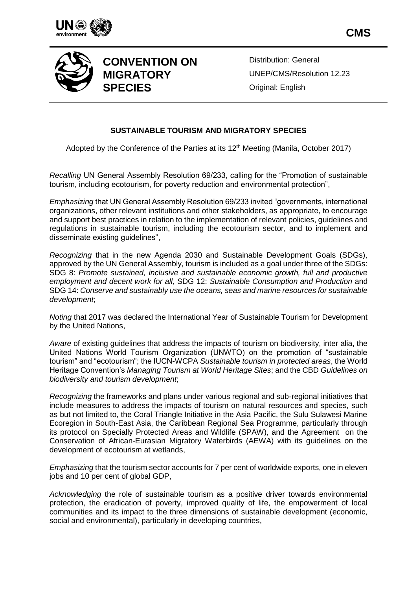



## **CONVENTION ON MIGRATORY SPECIES**

Distribution: General UNEP/CMS/Resolution 12.23 Original: English

## **SUSTAINABLE TOURISM AND MIGRATORY SPECIES**

Adopted by the Conference of the Parties at its 12<sup>th</sup> Meeting (Manila, October 2017)

*Recalling* UN General Assembly Resolution 69/233, calling for the "Promotion of sustainable tourism, including ecotourism, for poverty reduction and environmental protection",

*Emphasizing* that UN General Assembly Resolution 69/233 invited "governments, international organizations, other relevant institutions and other stakeholders, as appropriate, to encourage and support best practices in relation to the implementation of relevant policies, guidelines and regulations in sustainable tourism, including the ecotourism sector, and to implement and disseminate existing guidelines",

*Recognizing* that in the new Agenda 2030 and Sustainable Development Goals (SDGs), approved by the UN General Assembly, tourism is included as a goal under three of the SDGs: SDG 8: *Promote sustained, inclusive and sustainable economic growth, full and productive employment and decent work for all*, SDG 12: *Sustainable Consumption and Production* and SDG 14: *Conserve and sustainably use the oceans, seas and marine resources for sustainable development*;

*Noting* that 2017 was declared the International Year of Sustainable Tourism for Development by the United Nations,

*Aware* of existing guidelines that address the impacts of tourism on biodiversity, inter alia, the United Nations World Tourism Organization (UNWTO) on the promotion of "sustainable tourism" and "ecotourism"; the IUCN-WCPA *Sustainable tourism in protected areas*, the World Heritage Convention's *Managing Tourism at World Heritage Sites*; and the CBD *Guidelines on biodiversity and tourism development*;

*Recognizing* the frameworks and plans under various regional and sub-regional initiatives that include measures to address the impacts of tourism on natural resources and species, such as but not limited to, the Coral Triangle Initiative in the Asia Pacific, the Sulu Sulawesi Marine Ecoregion in South-East Asia, the Caribbean Regional Sea Programme, particularly through its protocol on Specially Protected Areas and Wildlife (SPAW), and the Agreement on the Conservation of African-Eurasian Migratory Waterbirds (AEWA) with its guidelines on the development of ecotourism at wetlands,

*Emphasizing* that the tourism sector accounts for 7 per cent of worldwide exports, one in eleven jobs and 10 per cent of global GDP,

*Acknowledging* the role of sustainable tourism as a positive driver towards environmental protection, the eradication of poverty, improved quality of life, the empowerment of local communities and its impact to the three dimensions of sustainable development (economic, social and environmental), particularly in developing countries,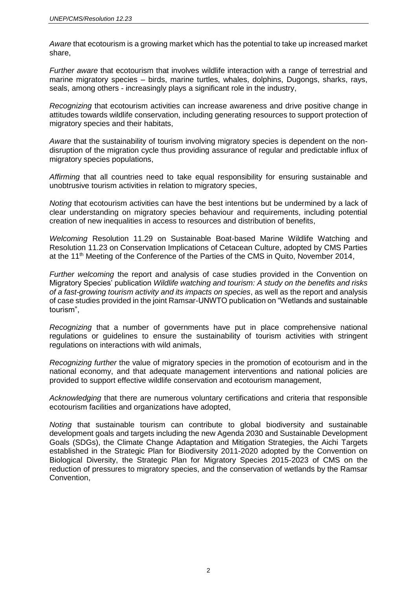*Aware* that ecotourism is a growing market which has the potential to take up increased market share,

*Further aware* that ecotourism that involves wildlife interaction with a range of terrestrial and marine migratory species – birds, marine turtles, whales, dolphins, Dugongs, sharks, rays, seals, among others - increasingly plays a significant role in the industry,

*Recognizing* that ecotourism activities can increase awareness and drive positive change in attitudes towards wildlife conservation, including generating resources to support protection of migratory species and their habitats,

*Aware* that the sustainability of tourism involving migratory species is dependent on the nondisruption of the migration cycle thus providing assurance of regular and predictable influx of migratory species populations,

*Affirming* that all countries need to take equal responsibility for ensuring sustainable and unobtrusive tourism activities in relation to migratory species,

*Noting* that ecotourism activities can have the best intentions but be undermined by a lack of clear understanding on migratory species behaviour and requirements, including potential creation of new inequalities in access to resources and distribution of benefits,

*Welcoming* Resolution 11.29 on Sustainable Boat-based Marine Wildlife Watching and Resolution 11.23 on Conservation Implications of Cetacean Culture, adopted by CMS Parties at the 11<sup>th</sup> Meeting of the Conference of the Parties of the CMS in Quito, November 2014,

*Further welcoming* the report and analysis of case studies provided in the Convention on Migratory Species' publication *Wildlife watching and tourism: A study on the benefits and risks of a fast-growing tourism activity and its impacts on species*, as well as the report and analysis of case studies provided in the joint Ramsar-UNWTO publication on "Wetlands and sustainable tourism",

*Recognizing* that a number of governments have put in place comprehensive national regulations or guidelines to ensure the sustainability of tourism activities with stringent regulations on interactions with wild animals,

*Recognizing further* the value of migratory species in the promotion of ecotourism and in the national economy, and that adequate management interventions and national policies are provided to support effective wildlife conservation and ecotourism management,

*Acknowledging* that there are numerous voluntary certifications and criteria that responsible ecotourism facilities and organizations have adopted,

*Noting* that sustainable tourism can contribute to global biodiversity and sustainable development goals and targets including the new Agenda 2030 and Sustainable Development Goals (SDGs), the Climate Change Adaptation and Mitigation Strategies, the Aichi Targets established in the Strategic Plan for Biodiversity 2011-2020 adopted by the Convention on Biological Diversity, the Strategic Plan for Migratory Species 2015-2023 of CMS on the reduction of pressures to migratory species, and the conservation of wetlands by the Ramsar Convention,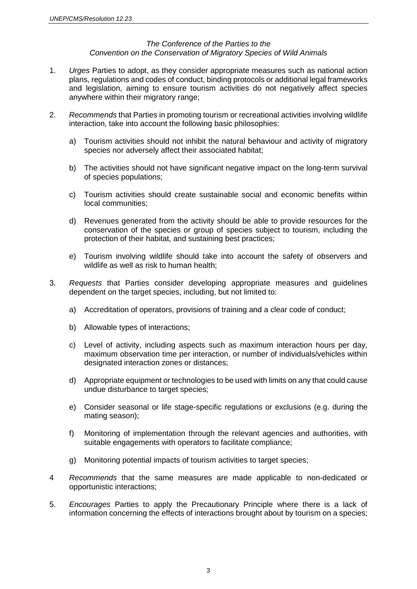## *The Conference of the Parties to the Convention on the Conservation of Migratory Species of Wild Animals*

- 1. *Urges* Parties to adopt, as they consider appropriate measures such as national action plans, regulations and codes of conduct, binding protocols or additional legal frameworks and legislation, aiming to ensure tourism activities do not negatively affect species anywhere within their migratory range;
- 2. *Recommends* that Parties in promoting tourism or recreational activities involving wildlife interaction, take into account the following basic philosophies:
	- a) Tourism activities should not inhibit the natural behaviour and activity of migratory species nor adversely affect their associated habitat;
	- b) The activities should not have significant negative impact on the long-term survival of species populations;
	- c) Tourism activities should create sustainable social and economic benefits within local communities;
	- d) Revenues generated from the activity should be able to provide resources for the conservation of the species or group of species subject to tourism, including the protection of their habitat, and sustaining best practices;
	- e) Tourism involving wildlife should take into account the safety of observers and wildlife as well as risk to human health;
- 3. *Requests* that Parties consider developing appropriate measures and guidelines dependent on the target species, including, but not limited to:
	- a) Accreditation of operators, provisions of training and a clear code of conduct;
	- b) Allowable types of interactions;
	- c) Level of activity, including aspects such as maximum interaction hours per day, maximum observation time per interaction, or number of individuals/vehicles within designated interaction zones or distances;
	- d) Appropriate equipment or technologies to be used with limits on any that could cause undue disturbance to target species;
	- e) Consider seasonal or life stage-specific regulations or exclusions (e.g. during the mating season);
	- f) Monitoring of implementation through the relevant agencies and authorities, with suitable engagements with operators to facilitate compliance;
	- g) Monitoring potential impacts of tourism activities to target species;
- 4 *Recommends* that the same measures are made applicable to non-dedicated or opportunistic interactions;
- 5. *Encourages* Parties to apply the Precautionary Principle where there is a lack of information concerning the effects of interactions brought about by tourism on a species;